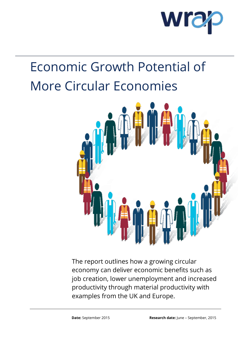

# Economic Growth Potential of More Circular Economies



The report outlines how a growing circular economy can deliver economic benefits such as job creation, lower unemployment and increased productivity through material productivity with examples from the UK and Europe.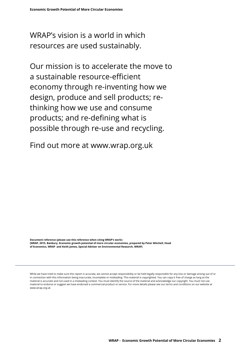WRAP's vision is a world in which resources are used sustainably.

Our mission is to accelerate the move to a sustainable resource-efficient economy through re-inventing how we design, produce and sell products; rethinking how we use and consume products; and re-defining what is possible through re-use and recycling.

Find out more at [www.wrap.org.uk](http://www.wrap.org.uk/)

**Document reference (please use this reference when citing WRAP's work): [WRAP, 2015, Banbury, Economic growth potential of more circular economies, prepared by Peter Mitchell, Head of Economics, WRAP and Keith James, Special Adviser on Environmental Research, WRAP]**

material to endorse or suggest we have endorsed a commercial product or service. For more details please see our terms and conditions on our website at **[WRAP, Year, Town, Title of Report, Prepared by xx]** www.wrap.org.ukWhile we have tried to make sure this report is accurate, we cannot accept responsibility or be held legally responsible for any loss or damage arising out of or in connection with this information being inaccurate, incomplete or misleading. This material is copyrighted. You can copy it free of charge as long as the material is accurate and not used in a misleading context. You must identify the source of the material and acknowledge our copyright. You must not use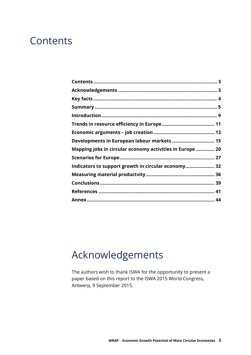#### <span id="page-2-0"></span>**Contents**

| Developments in European labour markets  15               |  |
|-----------------------------------------------------------|--|
| Mapping jobs in circular economy activities in Europe  20 |  |
|                                                           |  |
| Indicators to support growth in circular economy 32       |  |
|                                                           |  |
|                                                           |  |
|                                                           |  |
|                                                           |  |

## <span id="page-2-1"></span>Acknowledgements

The authors wish to thank ISWA for the opportunity to present a paper based on this report to the ISWA 2015 World Congress, Antwerp, 9 September 2015.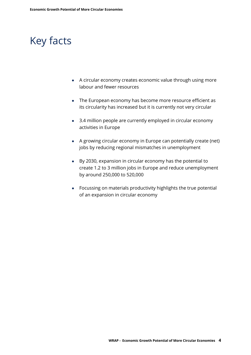### <span id="page-3-0"></span>Key facts

- A circular economy creates economic value through using more labour and fewer resources
- The European economy has become more resource efficient as its circularity has increased but it is currently not very circular
- 3.4 million people are currently employed in circular economy activities in Europe
- A growing circular economy in Europe can potentially create (net) jobs by reducing regional mismatches in unemployment
- By 2030, expansion in circular economy has the potential to create 1.2 to 3 million jobs in Europe and reduce unemployment by around 250,000 to 520,000
- Focussing on materials productivity highlights the true potential of an expansion in circular economy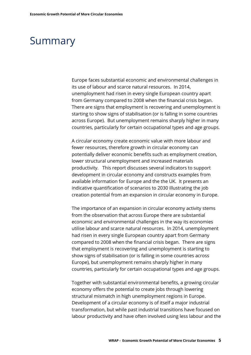### <span id="page-4-0"></span>Summary

Europe faces substantial economic and environmental challenges in its use of labour and scarce natural resources. In 2014, unemployment had risen in every single European country apart from Germany compared to 2008 when the financial crisis began. There are signs that employment is recovering and unemployment is starting to show signs of stabilisation (or is falling in some countries across Europe). But unemployment remains sharply higher in many countries, particularly for certain occupational types and age groups.

A circular economy create economic value with more labour and fewer resources, therefore growth in circular economy can potentially deliver economic benefits such as employment creation, lower structural unemployment and increased materials productivity. This report discusses several indicators to support development in circular economy and constructs examples from available information for Europe and the the UK. It presents an indicative quantification of scenarios to 2030 illustrating the job creation potential from an expansion in circular economy in Europe.

The importance of an expansion in circular economy activity stems from the observation that across Europe there are substantial economic and environmental challenges in the way its economies utilise labour and scarce natural resources. In 2014, unemployment had risen in every single European country apart from Germany compared to 2008 when the financial crisis began. There are signs that employment is recovering and unemployment is starting to show signs of stabilisation (or is falling in some countries across Europe), but unemployment remains sharply higher in many countries, particularly for certain occupational types and age groups.

Together with substantial environmental benefits, a growing circular economy offers the potential to create jobs through lowering structural mismatch in high unemployment regions in Europe. Development of a circular economy is of itself a major industrial transformation, but while past industrial transitions have focused on labour productivity and have often involved using less labour and the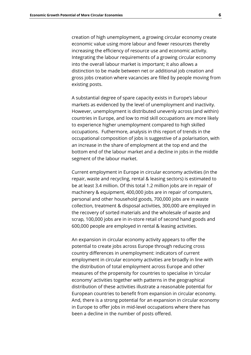creation of high unemployment, a growing circular economy create economic value using more labour and fewer resources thereby increasing the efficiency of resource use and economic activity. Integrating the labour requirements of a growing circular economy into the overall labour market is important; it also allows a distinction to be made between net or additional job creation and gross jobs creation where vacancies are filled by people moving from existing posts.

A substantial degree of spare capacity exists in Europe's labour markets as evidenced by the level of unemployment and inactivity. However, unemployment is distributed unevenly across (and within) countries in Europe, and low to mid skill occupations are more likely to experience higher unemployment compared to high skilled occupations. Futhermore, analysis in this report of trends in the occupational composition of jobs is suggestive of a polarisation, with an increase in the share of employment at the top end and the bottom end of the labour market and a decline in jobs in the middle segment of the labour market.

Current employment in Europe in circular economy activities (in the repair, waste and recycling, rental & leasing sectors) is estimated to be at least 3.4 million. Of this total 1.2 million jobs are in repair of machinery & equipment, 400,000 jobs are in repair of computers, personal and other household goods, 700,000 jobs are in waste collection, treatment & disposal activities, 300,000 are employed in the recovery of sorted materials and the wholesale of waste and scrap, 100,000 jobs are in in-store retail of second hand goods and 600,000 people are employed in rental & leasing activities.

An expansion in circular economy activity appears to offer the potential to create jobs across Europe through reducing cross country differences in unemployment: indicators of current employment in circular economy activities are broadly in line with the distribution of total employment across Europe and other measures of the propensity for countries to specialise in 'circular economy' activities together with patterns in the geographical distribution of these activities illustrate a reasonable potential for European countries to benefit from expansion in circular economy. And, there is a strong potential for an expansion in circular economy in Europe to offer jobs in mid-level occupations where there has been a decline in the number of posts offered.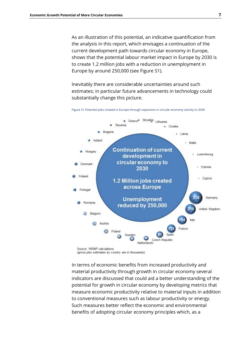As an illustration of this potential, an indicative quantification from the analysis in this report, which envisages a continuation of the current development path towards circular economy in Europe, shows that the potential labour market impact in Europe by 2030 is to create 1.2 million jobs with a reduction in unemployment in Europe by around 250,000 (see Figure S1).

Inevitably there are considerable uncertainties around such estimates; in particular future advancements in technology could substantially change this picture.



Figure S1 Potential jobs created in Europe through expansion in circular economy activity to 2030

(gross jobs estimates by country are in thousands)

In terms of economic benefits from increased productivity and material productivity through growth in circular economy several indicators are discussed that could aid a better understanding of the potential for growth in circular economy by developing metrics that measure economic productivity relative to material inputs in addition to conventional measures such as labour productivity or energy. Such measures better reflect the economic and environmental benefits of adopting circular economy principles which, as a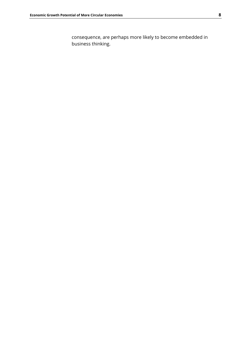consequence, are perhaps more likely to become embedded in business thinking.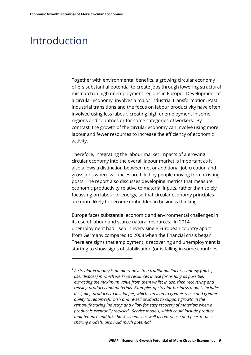-

### <span id="page-8-0"></span>Introduction

Together with environmental benefits, a growing circular economy<sup>1</sup> offers substantial potential to create jobs through lowering structural mismatch in high unemployment regions in Europe. Development of a circular economy involves a major industrial transformation. Past industrial transitions and the focus on labour productivity have often involved using less labour, creating high unemployment in some regions and countries or for some categories of workers. By contrast, the growth of the circular economy can involve using more labour and fewer resources to increase the efficiency of economic activity.

Therefore, integrating the labour market impacts of a growing circular economy into the overall labour market is important as it also allows a distinction between net or additional job creation and gross jobs where vacancies are filled by people moving from existing posts. The report also discusses developing metrics that measure economic productivity relative to material inputs, rather than solely focussing on labour or energy, so that circular economy principles are more likely to become embedded in business thinking.

Europe faces substantial economic and environmental challenges in its use of labour and scarce natural resources. In 2014, unemployment had risen in every single European country apart from Germany compared to 2008 when the financial crisis began. There are signs that employment is recovering and unemployment is starting to show signs of stabilisation (or is falling in some countries

*<sup>1</sup> A circular economy is an alternative to a traditional linear economy (make, use, dispose) in which we keep resources in use for as long as possible, extracting the maximum value from them whilst in use, then recovering and reusing products and materials. Examples of circular business models include; designing products to last longer, which can lead to greater reuse and greater ability to repair/refurbish and re-sell products to support growth in the remanufacturing industry; and allow for easy recovery of materials when a product is eventually recycled. Service models, which could include product maintenance and take back schemes as well as rent/lease and peer-to-peer sharing models, also hold much potential.*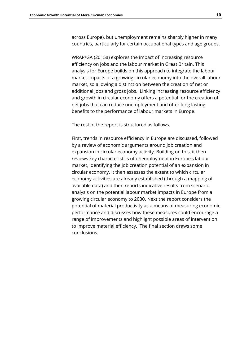across Europe), but unemployment remains sharply higher in many countries, particularly for certain occupational types and age groups.

WRAP/GA (2015a) explores the impact of increasing resource efficiency on jobs and the labour market in Great Britain. This analysis for Europe builds on this approach to integrate the labour market impacts of a growing circular economy into the overall labour market, so allowing a distinction between the creation of net or additional jobs and gross jobs. Linking increasing resource efficiency and growth in circular economy offers a potential for the creation of net jobs that can reduce unemployment and offer long lasting benefits to the performance of labour markets in Europe.

The rest of the report is structured as follows.

First, trends in resource efficiency in Europe are discussed, followed by a review of economic arguments around job creation and expansion in circular economy activity. Building on this, it then reviews key characteristics of unemployment in Europe's labour market, identifying the job creation potential of an expansion in circular economy. It then assesses the extent to which circular economy activities are already established (through a mapping of available data) and then reports indicative results from scenario analysis on the potential labour market impacts in Europe from a growing circular economy to 2030. Next the report considers the potential of material productivity as a means of measuring economic performance and discusses how these measures could encourage a range of improvements and highlight possible areas of intervention to improve material efficiency. The final section draws some conclusions.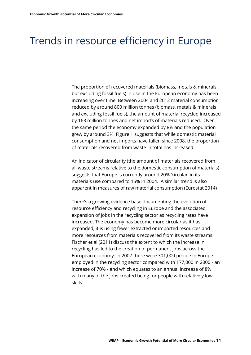### <span id="page-10-0"></span>Trends in resource efficiency in Europe

The proportion of recovered materials (biomass, metals & minerals but excluding fossil fuels) in use in the European economy has been increasing over time. Between 2004 and 2012 material consumption reduced by around 800 million tonnes (biomass, metals & minerals and excluding fossil fuels), the amount of material recycled increased by 163 million tonnes and net imports of materials reduced. Over the same period the economy expanded by 8% and the population grew by around 3%. Figure 1 suggests that while domestic material consumption and net imports have fallen since 2008, the proportion of materials recovered from waste in total has increased.

An indicator of circularity (the amount of materials recovered from all waste streams relative to the domestic consumption of materials) suggests that Europe is currently around 20% 'circular' in its materials use compared to 15% in 2004. A similar trend is also apparent in measures of raw material consumption (Eurostat 2014)

There's a growing evidence base documenting the evolution of resource efficiency and recycling in Europe and the associated expansion of jobs in the recycling sector as recycling rates have increased. The economy has become more circular as it has expanded, it is using fewer extracted or imported resources and more resources from materials recovered from its waste streams. Fischer et al (2011) discuss the extent to which the increase in recycling has led to the creation of permanent jobs across the European economy. In 2007 there were 301,000 people in Europe employed in the recycling sector compared with 177,000 in 2000 - an increase of 70% - and which equates to an annual increase of 8% with many of the jobs created being for people with relatively low skills.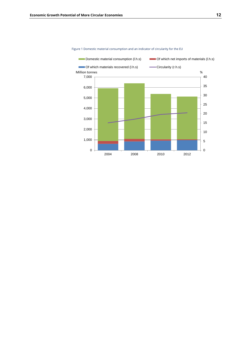

Figure 1 Domestic material consumption and an indicator of circularity for the EU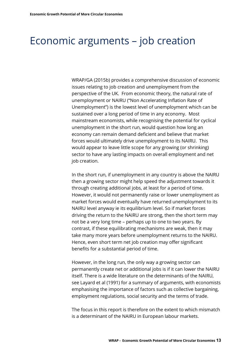### <span id="page-12-0"></span>Economic arguments – job creation

WRAP/GA (2015b) provides a comprehensive discussion of economic issues relating to job creation and unemployment from the perspective of the UK. From economic theory, the natural rate of unemployment or NAIRU ("Non Accelerating Inflation Rate of Unemployment") is the lowest level of unemployment which can be sustained over a long period of time in any economy. Most mainstream economists, while recognising the potential for cyclical unemployment in the short run, would question how long an economy can remain demand deficient and believe that market forces would ultimately drive unemployment to its NAIRU. This would appear to leave little scope for any growing (or shrinking) sector to have any lasting impacts on overall employment and net job creation.

In the short run, if unemployment in any country is above the NAIRU then a growing sector might help speed the adjustment towards it through creating additional jobs, at least for a period of time. However, it would not permanently raise or lower unemployment as market forces would eventually have returned unemployment to its NAIRU level anyway ie its equilibrium level. So if market forces driving the return to the NAIRU are strong, then the short term may not be a very long time – perhaps up to one to two years. By contrast, if these equilibrating mechanisms are weak, then it may take many more years before unemployment returns to the NAIRU. Hence, even short term net job creation may offer significant benefits for a substantial period of time.

However, in the long run, the only way a growing sector can permanently create net or additional jobs is if it can lower the NAIRU itself. There is a wide literature on the determinants of the NAIRU, see Layard et al (1991) for a summary of arguments, with economists emphasising the importance of factors such as collective bargaining, employment regulations, social security and the terms of trade.

The focus in this report is therefore on the extent to which mismatch is a determinant of the NAIRU in European labour markets.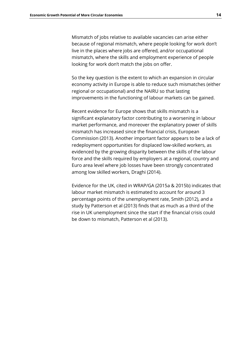Mismatch of jobs relative to available vacancies can arise either because of regional mismatch, where people looking for work don't live in the places where jobs are offered, and/or occupational mismatch, where the skills and employment experience of people looking for work don't match the jobs on offer.

So the key question is the extent to which an expansion in circular economy activity in Europe is able to reduce such mismatches (either regional or occupational) and the NAIRU so that lasting improvements in the functioning of labour markets can be gained.

Recent evidence for Europe shows that skills mismatch is a significant explanatory factor contributing to a worsening in labour market performance, and moreover the explanatory power of skills mismatch has increased since the financial crisis, European Commission (2013). Another important factor appears to be a lack of redeployment opportunities for displaced low-skilled workers, as evidenced by the growing disparity between the skills of the labour force and the skills required by employers at a regional, country and Euro area level where job losses have been strongly concentrated among low skilled workers, Draghi (2014).

Evidence for the UK, cited in WRAP/GA (2015a & 2015b) indicates that labour market mismatch is estimated to account for around 3 percentage points of the unemployment rate, Smith (2012), and a study by Patterson et al (2013) finds that as much as a third of the rise in UK unemployment since the start if the financial crisis could be down to mismatch, Patterson et al (2013).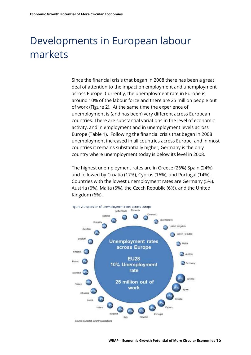# <span id="page-14-0"></span>Developments in European labour markets

Since the financial crisis that began in 2008 there has been a great deal of attention to the impact on employment and unemployment across Europe. Currently, the unemployment rate in Europe is around 10% of the labour force and there are 25 million people out of work (Figure 2). At the same time the experience of unemployment is (and has been) very different across European countries. There are substantial variations in the level of economic activity, and in employment and in unemployment levels across Europe (Table 1). Following the financial crisis that began in 2008 unemployment increased in all countries across Europe, and in most countries it remains substantially higher, Germany is the only country where unemployment today is below its level in 2008.

The highest unemployment rates are in Greece (26%) Spain (24%) and followed by Croatia (17%), Cyprus (16%), and Portugal (14%). Countries with the lowest unemployment rates are Germany (5%), Austria (6%), Malta (6%), the Czech Republic (6%), and the United Kingdom (6%).



**WRAP - Economic Growth Potential of More Circular Economies 15**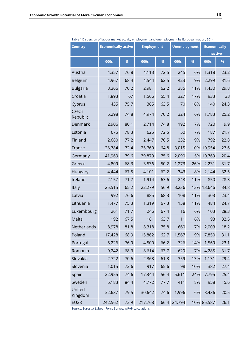| <b>Country</b>    | <b>Economically active</b><br><b>Employment</b> |      | <b>Unemployment</b> |      | <b>Economically</b><br>inactive |     |            |      |
|-------------------|-------------------------------------------------|------|---------------------|------|---------------------------------|-----|------------|------|
|                   | 000s                                            | %    | 000s                | %    | 000s                            | %   | 000s       | %    |
| Austria           | 4,357                                           | 76.8 | 4,113               | 72.5 | 245                             | 6%  | 1,318      | 23.2 |
| Belgium           | 4,967                                           | 68.4 | 4,544               | 62.5 | 423                             | 9%  | 2,299      | 31.6 |
| <b>Bulgaria</b>   | 3,366                                           | 70.2 | 2,981               | 62.2 | 385                             | 11% | 1,430      | 29.8 |
| Croatia           | 1,893                                           | 67   | 1,566               | 55.4 | 327                             | 17% | 933        | 33   |
| Cyprus            | 435                                             | 75.7 | 365                 | 63.5 | 70                              | 16% | 140        | 24.3 |
| Czech<br>Republic | 5,298                                           | 74.8 | 4,974               | 70.2 | 324                             | 6%  | 1,783      | 25.2 |
| Denmark           | 2,906                                           | 80.1 | 2,714               | 74.8 | 192                             | 7%  | 720        | 19.9 |
| Estonia           | 675                                             | 78.3 | 625                 | 72.5 | 50                              | 7%  | 187        | 21.7 |
| Finland           | 2,680                                           | 77.2 | 2,447               | 70.5 | 232                             | 9%  | 792        | 22.8 |
| France            | 28,784                                          | 72.4 | 25,769              | 64.8 | 3,015                           | 10% | 10,954     | 27.6 |
| Germany           | 41,969                                          | 79.6 | 39,879              | 75.6 | 2,090                           | 5%  | 10,769     | 20.4 |
| Greece            | 4,809                                           | 68.3 | 3,536               | 50.2 | 1,273                           | 26% | 2,231      | 31.7 |
| Hungary           | 4,444                                           | 67.5 | 4,101               | 62.2 | 343                             | 8%  | 2,144      | 32.5 |
| Ireland           | 2,157                                           | 71.7 | 1,914               | 63.6 | 243                             | 11% | 850        | 28.3 |
| Italy             | 25,515                                          | 65.2 | 22,279              | 56.9 | 3,236                           | 13% | 13,646     | 34.8 |
| Latvia            | 992                                             | 76.6 | 885                 | 68.3 | 108                             | 11% | 303        | 23.4 |
| Lithuania         | 1,477                                           | 75.3 | 1,319               | 67.3 | 158                             | 11% | 484        | 24.7 |
| Luxembourg        | 261                                             | 71.7 | 246                 | 67.4 | 16                              | 6%  | 103        | 28.3 |
| Malta             | 192                                             | 67.5 | 181                 | 63.7 | 11                              | 6%  | 93         | 32.5 |
| Netherlands       | 8,978                                           | 81.8 | 8,318               | 75.8 | 660                             | 7%  | 2,003      | 18.2 |
| Poland            | 17,428                                          | 68.9 | 15,862              | 62.7 | 1,567                           | 9%  | 7,850      | 31.1 |
| Portugal          | 5,226                                           | 76.9 | 4,500               | 66.2 | 726                             | 14% | 1,569      | 23.1 |
| Romania           | 9,242                                           | 68.3 | 8,614               | 63.7 | 629                             | 7%  | 4,285      | 31.7 |
| Slovakia          | 2,722                                           | 70.6 | 2,363               | 61.3 | 359                             | 13% | 1,131      | 29.4 |
| Slovenia          | 1,015                                           | 72.6 | 917                 | 65.6 | 98                              | 10% | 382        | 27.4 |
| Spain             | 22,955                                          | 74.6 | 17,344              | 56.4 | 5,611                           | 24% | 7,795      | 25.4 |
| Sweden            | 5,183                                           | 84.4 | 4,772               | 77.7 | 411                             | 8%  | 958        | 15.6 |
| United<br>Kingdom | 32,637                                          | 79.5 | 30,642              | 74.6 | 1,996                           | 6%  | 8,436      | 20.5 |
| <b>EU28</b>       | 242,562                                         | 73.9 | 217,768             | 66.4 | 24,794                          |     | 10% 85,587 | 26.1 |

Table 1 Dispersion of labour market activity employment and unemployment by European nation, 2014

Source: Eurostat Labour Force Survey, WRAP calculations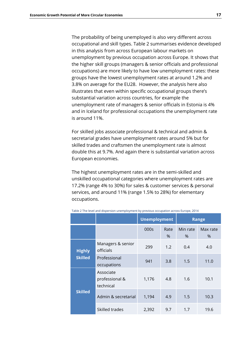The probability of being unemployed is also very different across occupational and skill types. Table 2 summarises evidence developed in this analysis from across European labour markets on unemployment by previous occupation across Europe. It shows that the higher skill groups (managers & senior officials and professional occupations) are more likely to have low unemployment rates: these groups have the lowest unemployment rates at around 1.2% and 3.8% on average for the EU28. However, the analysis here also illustrates that even within specific occupational groups there's substantial variation across countries, for example the unemployment rate of managers & senior officials in Estonia is 4% and in Iceland for professional occupations the unemployment rate is around 11%.

For skilled jobs associate professional & technical and admin & secretarial grades have unemployment rates around 5% but for skilled trades and craftsmen the unemployment rate is almost double this at 9.7%. And again there is substantial variation across European economies.

The highest unemployment rates are in the semi-skilled and unskilled occupational categories where unemployment rates are 17.2% (range 4% to 30%) for sales & customer services & personal services, and around 11% (range 1.5% to 28%) for elementary occupations.

|                |                                          | <b>Unemployment</b> |              |                  | <b>Range</b>     |
|----------------|------------------------------------------|---------------------|--------------|------------------|------------------|
|                |                                          | 000s                | Rate<br>$\%$ | Min rate<br>$\%$ | Max rate<br>$\%$ |
| <b>Highly</b>  | Managers & senior<br>officials           | 299                 | 1.2          | 0.4              | 4.0              |
| <b>Skilled</b> | Professional<br>occupations              | 941                 | 3.8          | 1.5              | 11.0             |
|                | Associate<br>professional &<br>technical | 1,176               | 4.8          | 1.6              | 10.1             |
| <b>Skilled</b> | Admin & secretarial                      | 1,194               | 4.9          | 1.5              | 10.3             |
|                | Skilled trades                           | 2,392               | 9.7          | 1.7              | 19.6             |

Table 2 The level and dispersion unemployment by previous occupation across Europe, 2014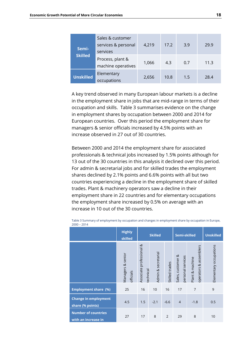| Semi-            | Sales & customer<br>services & personal<br>services | 4,219 | 17.2 | 3.9 | 29.9 |
|------------------|-----------------------------------------------------|-------|------|-----|------|
| <b>Skilled</b>   | Process, plant &<br>machine operatives              | 1,066 | 4.3  | 0.7 | 11.3 |
| <b>Unskilled</b> | Elementary<br>occupations                           | 2,656 | 10.8 | 1.5 | 28.4 |

A key trend observed in many European labour markets is a decline in the employment share in jobs that are mid-range in terms of their occupation and skills. Table 3 summarises evidence on the change in employment shares by occupation between 2000 and 2014 for European countries. Over this period the employment share for managers & senior officials increased by 4.5% points with an increase observed in 27 out of 30 countries.

Between 2000 and 2014 the employment share for associated professionals & technical jobs increased by 1.5% points although for 13 out of the 30 countries in this analysis it declined over this period. For admin & secretarial jobs and for skilled trades the employment shares declined by 2.1% points and 6.6% points with all but two countries experiencing a decline in the employment share of skilled trades. Plant & machinery operators saw a decline in their employment share in 22 countries and for elementary occupations the employment share increased by 0.5% on average with an increase in 10 out of the 30 countries.

|                                                   | <b>Highly</b><br>skilled       | <b>Skilled</b>                        |                     | Semi-skilled   |                                        | <b>Unskilled</b>                                |                        |
|---------------------------------------------------|--------------------------------|---------------------------------------|---------------------|----------------|----------------------------------------|-------------------------------------------------|------------------------|
|                                                   | Managers & senior<br>officials | Associate professional &<br>technical | Admin & secretarial | Skilled trades | Sales, customer &<br>personal services | assemblers<br>Plant & machine<br>చ<br>operators | Elementary occupations |
| <b>Employment share (%)</b>                       | 25                             | 16                                    | 10                  | 16             | 17                                     | $\overline{7}$                                  | 9                      |
| <b>Change in employment</b><br>share (% points)   | 4.5                            | 1.5                                   | $-2.1$              | $-6.6$         | $\overline{4}$                         | $-1.8$                                          | 0.5                    |
| <b>Number of countries</b><br>with an increase in | 27                             | 17                                    | 8                   | 2              | 29                                     | 8                                               | 10                     |

Table 3 Summary of employment by occupation and changes in employment share by occupation in Europe, 2000 – 2014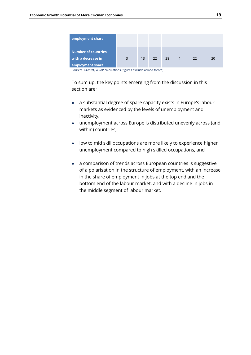| employment share                          |   |    |    |    |            |    |    |
|-------------------------------------------|---|----|----|----|------------|----|----|
| Number of countries<br>with a decrease in | 3 | 13 | 22 | 28 | $\sqrt{1}$ | 22 | 20 |
| employment share                          |   |    |    |    |            |    |    |

Source: Eurostat, WRAP calculations (figures exclude armed forces)

To sum up, the key points emerging from the discussion in this section are;

- a substantial degree of spare capacity exists in Europe's labour markets as evidenced by the levels of unemployment and inactivity,
- unemployment across Europe is distributed unevenly across (and within) countries,
- low to mid skill occupations are more likely to experience higher unemployment compared to high skilled occupations, and
- a comparison of trends across European countries is suggestive of a polarisation in the structure of employment, with an increase in the share of employment in jobs at the top end and the bottom end of the labour market, and with a decline in jobs in the middle segment of labour market.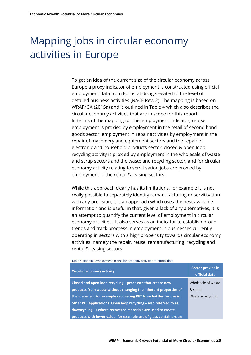# <span id="page-19-0"></span>Mapping jobs in circular economy activities in Europe

To get an idea of the current size of the circular economy across Europe a proxy indicator of employment is constructed using official employment data from Eurostat disaggregated to the level of detailed business activities (NACE Rev. 2). The mapping is based on WRAP/GA (2015a) and is outlined in Table 4 which also describes the circular economy activities that are in scope for this report In terms of the mapping for this employment indicator, re-use employment is proxied by employment in the retail of second hand goods sector, employment in repair activities by employment in the repair of machinery and equipment sectors and the repair of electronic and household products sector, closed & open loop recycling activity is proxied by employment in the wholesale of waste and scrap sectors and the waste and recycling sector, and for circular economy activity relating to servitisation jobs are proxied by employment in the rental & leasing sectors.

While this approach clearly has its limitations, for example it is not really possible to separately identify remanufacturing or servitisation with any precision, it is an approach which uses the best available information and is useful in that, given a lack of any alternatives, it is an attempt to quantify the current level of employment in circular economy activities. It also serves as an indicator to establish broad trends and track progress in employment in businesses currently operating in sectors with a high propensity towards circular economy activities, namely the repair, reuse, remanufacturing, recycling and rental & leasing sectors.

Table 4 Mapping employment in circular economy activities to official data

| <b>Circular economy activity</b>                                  | <b>Sector proxies in</b><br>official data |
|-------------------------------------------------------------------|-------------------------------------------|
| Closed and open loop recycling - processes that create new        | Wholesale of waste                        |
| products from waste without changing the inherent properties of   | & scrap                                   |
| the material. For example recovering PET from bottles for use in  | Waste & recycling                         |
| other PET applications. Open loop recycling - also referred to as |                                           |
| downcycling, is where recovered materials are used to create      |                                           |
| products with lower value, for example use of glass containers an |                                           |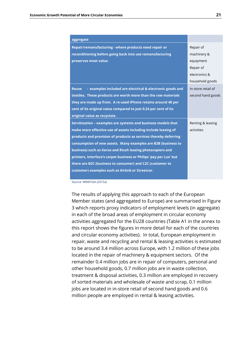| aggregate                                                                 |                    |
|---------------------------------------------------------------------------|--------------------|
| Repair/remanufacturing - where products need repair or                    | Repair of          |
| reconditioning before going back into use remanufacturing                 | machinery &        |
| preserves most value.                                                     | equipment          |
|                                                                           | Repair of          |
|                                                                           | electronics &      |
|                                                                           | household goods    |
| - examples included are electrical & electronic goods and<br><b>Reuse</b> | In-store retail of |
| textiles. These products are worth more than the raw materials            | second hand goods  |
| they are made up from. A re-used iPhone retains around 48 per             |                    |
| cent of its original value compared to just 0.24 per cent of its          |                    |
| original value as recyclate.                                              |                    |
| Servitisation - examples are systems and business models that             | Renting & leasing  |
| make more effective use of assets including include leasing of            | activities         |
| products and provision of products as services thereby deferring          |                    |
| consumption of new assets. Many examples are B2B (business to             |                    |
| business) such as Xerox and Ricoh leasing photocopiers and                |                    |
| printers, Interface's carpet business or Philips 'pay per Lux' but        |                    |
| there are B2C (business to consumer) and C2C (customer to                 |                    |
| customer) examples such as Airbnb or Streetcar.                           |                    |

Source: WRAP/GA (2015a)

The results of applying this approach to each of the European Member states (and aggregated to Europe) are summarised in Figure 3 which reports proxy indicators of employment levels (in aggregate) in each of the broad areas of employment in circular economy activities aggregated for the EU28 countries (Table A1 in the annex to this report shows the figures in more detail for each of the countries and circular economy activities). In total, European employment in repair, waste and recycling and rental & leasing activities is estimated to be around 3.4 million across Europe, with 1.2 million of these jobs located in the repair of machinery & equipment sectors. Of the remainder 0.4 million jobs are in repair of computers, personal and other household goods, 0.7 million jobs are in waste collection, treatment & disposal activities, 0.3 million are employed in recovery of sorted materials and wholesale of waste and scrap, 0.1 million jobs are located in in-store retail of second hand goods and 0.6 million people are employed in rental & leasing activities.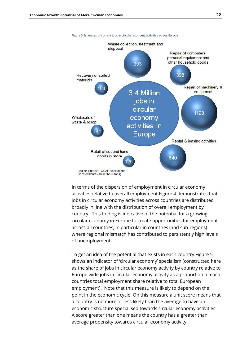

In terms of the dispersion of employment in circular economy activities relative to overall employment Figure 4 demonstrates that jobs in circular economy activities across countries are distributed broadly in line with the distribution of overall employment by country. This finding is indicative of the potential for a growing circular economy in Europe to create opportunities for employment across all countries, in particular in countries (and sub-regions) where regional mismatch has contributed to persistently high levels of unemployment.

To get an idea of the potential that exists in each country Figure 5 shows an indicator of 'circular economy' specialism (constructed here as the share of jobs in circular economy activity by country relative to Europe wide jobs in circular economy activity as a proportion of each countries total employment share relative to total European employment). Note that this measure is likely to depend on the point in the economic cycle. On this measure a unit score means that a country is no more or less likely than the average to have an economic structure specialised towards circular economy activities. A score greater than one means the country has a greater than average propensity towards circular economy activity.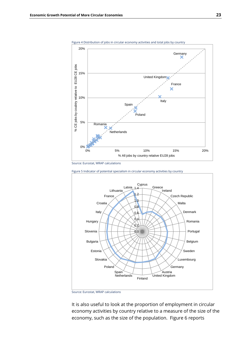

Figure 4 Distribution of jobs in circular economy activities and total jobs by country

**Netherlands** 

Romania

0%

5%

10%

% CE jobs by coubtry relative to EU28 CE jobs

% CE jobs by coubtry relative to EU28 CE jobs

15%

20%



Poland

0% 5% 10% 15% 20%

Source: Eurostat, WRAP calculations

It is also useful to look at the proportion of employment in circular economy activities by country relative to a measure of the size of the economy, such as the size of the population. Figure 6 reports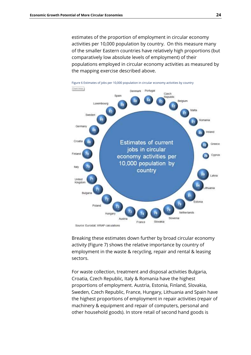estimates of the proportion of employment in circular economy activities per 10,000 population by country. On this measure many of the smaller Eastern countries have relatively high proportions (but comparatively low absolute levels of employment) of their populations employed in circular economy activities as measured by the mapping exercise described above.



Breaking these estimates down further by broad circular economy activity (Figure 7) shows the relative importance by country of employment in the waste & recycling, repair and rental & leasing sectors.

For waste collection, treatment and disposal activities Bulgaria, Croatia, Czech Republic, Italy & Romania have the highest proportions of employment. Austria, Estonia, Finland, Slovakia, Sweden, Czech Republic, France, Hungary, Lithuania and Spain have the highest proportions of employment in repair activities (repair of machinery & equipment and repair of computers, personal and other household goods). In store retail of second hand goods is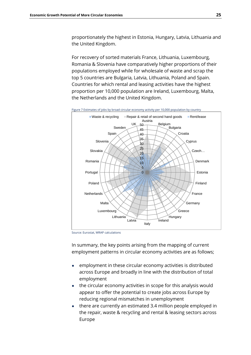proportionately the highest in Estonia, Hungary, Latvia, Lithuania and the United Kingdom.

For recovery of sorted materials France, Lithuania, Luxembourg, Romania & Slovenia have comparatively higher proportions of their populations employed while for wholesale of waste and scrap the top 5 countries are Bulgaria, Latvia, Lithuania, Poland and Spain. Countries for which rental and leasing activities have the highest proportion per 10,000 population are Ireland, Luxembourg, Malta, the Netherlands and the United Kingdom.

Figure 7 Estimates of jobs by broad circular economy activity per 10,000 population by country



Source: Eurostat, WRAP calculations

In summary, the key points arising from the mapping of current employment patterns in circular economy activities are as follows;

- employment in these circular economy activities is distributed across Europe and broadly in line with the distribution of total employment
- the circular economy activities in scope for this analysis would appear to offer the potential to create jobs across Europe by reducing regional mismatches in unemployment
- there are currently an estimated 3.4 million people employed in the repair, waste & recycling and rental & leasing sectors across Europe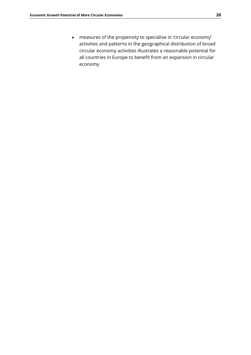● measures of the propensity to specialise in 'circular economy' activities and patterns in the geographical distribution of broad circular economy activities illustrates a reasonable potential for all countries in Europe to benefit from an expansion in circular economy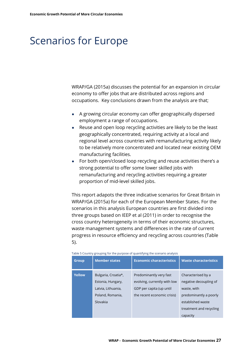### <span id="page-26-0"></span>Scenarios for Europe

WRAP/GA (2015a) discusses the potential for an expansion in circular economy to offer jobs that are distributed across regions and occupations. Key conclusions drawn from the analysis are that;

- A growing circular economy can offer geographically dispersed employment a range of occupations.
- Reuse and open loop recycling activities are likely to be the least geographically concentrated, requiring activity at a local and regional level across countries with remanufacturing activity likely to be relatively more concentrated and located near existing OEM manufacturing facilities.
- For both open/closed loop recycling and reuse activities there's a strong potential to offer some lower skilled jobs with remanufacturing and recycling activities requiring a greater proportion of mid-level skilled jobs.

This report adapots the three indicative scenarios for Great Britain in WRAP/GA (2015a) for each of the European Member States. For the scenarios in this analysis European countries are first divided into three groups based on IEEP et al (2011) in order to recognise the cross country heterogeneity in terms of their economic structures, waste management systems and differences in the rate of current progress in resource efficiency and recycling across countries (Table 5).

|               | rapic 5 country grouping for the parpose or quantitying the secritatio analysis                |                                                                                                                    |                                                                                                                                       |  |  |  |
|---------------|------------------------------------------------------------------------------------------------|--------------------------------------------------------------------------------------------------------------------|---------------------------------------------------------------------------------------------------------------------------------------|--|--|--|
| <b>Group</b>  | <b>Member states</b>                                                                           | <b>Economic characteristics</b>                                                                                    | <b>Waste characteristics</b>                                                                                                          |  |  |  |
| <b>Yellow</b> | Bulgaria, Croatia*,<br>Estonia, Hungary,<br>Latvia, Lithuania,<br>Poland, Romania,<br>Slovakia | Predominantly very fast<br>evolving, currently with low<br>GDP per capita (up until<br>the recent economic crisis) | Characterised by a<br>negative decoupling of<br>waste, with<br>predominantly a poorly<br>established waste<br>treatment and recycling |  |  |  |
|               |                                                                                                |                                                                                                                    | capacity                                                                                                                              |  |  |  |

|  |  | Table 5 Country grouping for the purpose of quantifying the scenario analysis |
|--|--|-------------------------------------------------------------------------------|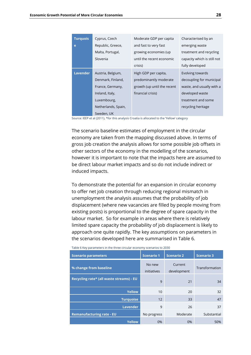| <b>Turquois</b> | Cyprus, Czech       | Moderate GDP per capita     | Characterised by an         |
|-----------------|---------------------|-----------------------------|-----------------------------|
| e               | Republic, Greece,   | and fast to very fast       | emerging waste              |
|                 | Malta, Portugal,    | growing economies (up       | treatment and recycling     |
|                 | Slovenia            | until the recent economic   | capacity which is still not |
|                 |                     | crisis)                     | fully developed             |
| <b>Lavender</b> | Austria, Belgium,   | High GDP per capita,        | Evolving towards            |
|                 | Denmark, Finland,   | predominantly moderate      | decoupling for municipal    |
|                 | France, Germany,    | growth (up until the recent | waste, and usually with a   |
|                 | Ireland, Italy,     | financial crisis)           | developed waste             |
|                 | Luxembourg,         |                             | treatment and some          |
|                 | Netherlands, Spain, |                             | recycling heritage          |
|                 | Sweden, UK          |                             |                             |

Source: IEEP et al (2011), \*for this analysis Croatia is allocated to the 'Yellow' category

The scenario baseline estimates of employment in the circular economy are taken from the mapping discussed above. In terms of gross job creation the analysis allows for some possible job offsets in other sectors of the economy in the modelling of the scenarios, however it is important to note that the impacts here are assumed to be direct labour market impacts and so do not include indirect or induced impacts.

To demonstrate the potential for an expansion in circular economy to offer net job creation through reducing regional mismatch in unemployment the analysis assumes that the probability of job displacement (where new vacancies are filled by people moving from existing posts) is proportional to the degree of spare capacity in the labour market. So for example in areas where there is relatively limited spare capacity the probability of job displacement is likely to approach one quite rapidly. The key assumptions on parameters in the scenarios developed here are summarised in Table 6.

Table 6 Key parameters in the three circular economy scenarios to 2030

| <b>Scenario parameters</b>               | <b>Scenario 1</b>     | <b>Scenario 2</b>      | <b>Scenario 3</b> |
|------------------------------------------|-----------------------|------------------------|-------------------|
| % change from baseline                   | No new<br>initiatives | Current<br>development | Transformation    |
| Recycling rate* (all waste streams) - EU | 9                     | 21                     | 34                |
| <b>Yellow</b>                            | 10                    | 20                     | 32                |
| <b>Turquoise</b>                         | 12                    | 33                     | 47                |
| <b>Lavender</b>                          | 9                     | 26                     | 37                |
| <b>Remanufacturing rate - EU</b>         | No progress           | Moderate               | Substantial       |
| <b>Yellow</b>                            | 0%                    | 0%                     | 50%               |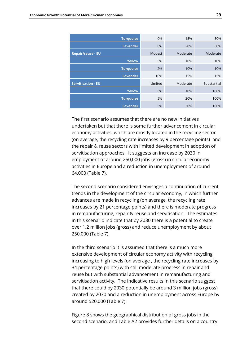| <b>Turquoise</b>          | 0%      | 15%      | 50%         |
|---------------------------|---------|----------|-------------|
| <b>Lavender</b>           | 0%      | 20%      | 50%         |
| <b>Repair/reuse - EU</b>  | Modest  | Moderate | Moderate    |
| <b>Yellow</b>             | 5%      | 10%      | 10%         |
| <b>Turquoise</b>          | 2%      | 10%      | 10%         |
| <b>Lavender</b>           | 10%     | 15%      | 15%         |
| <b>Servitisation - EU</b> | Limited | Moderate | Substantial |
| <b>Yellow</b>             | 5%      | 10%      | 100%        |
| <b>Turquoise</b>          | 5%      | 20%      | 100%        |
| <b>Lavender</b>           | 5%      | 30%      | 100%        |

The first scenario assumes that there are no new initiatives undertaken but that there is some further advancement in circular economy activities, which are mostly located in the recycling sector (on average, the recycling rate increases by 9 percentage points) and the repair & reuse sectors with limited development in adoption of servitisation approaches. It suggests an increase by 2030 in employment of around 250,000 jobs (gross) in circular economy activities in Europe and a reduction in unemployment of around 64,000 (Table 7).

The second scenario considered envisages a continuation of current trends in the development of the circular economy, in which further advances are made in recycling (on average, the recycling rate increases by 21 percentage points) and there is moderate progress in remanufacturing, repair & reuse and servitisation. The estimates in this scenario indicate that by 2030 there is a potential to create over 1.2 million jobs (gross) and reduce unemployment by about 250,000 (Table 7).

In the third scenario it is assumed that there is a much more extensive development of circular economy activity with recycling increasing to high levels (on average , the recycling rate increases by 34 percentage points) with still moderate progress in repair and reuse but with substantial advancement in remanufacturing and servitisation activity. The indicative results in this scenario suggest that there could by 2030 potentially be around 3 million jobs (gross) created by 2030 and a reduction in unemployment across Europe by around 520,000 (Table 7).

Figure 8 shows the geographical distribution of gross jobs in the second scenario, and Table A2 provides further details on a country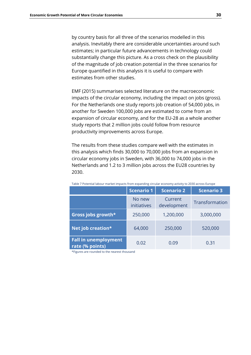by country basis for all three of the scenarios modelled in this analysis. Inevitably there are considerable uncertainties around such estimates; in particular future advancements in technology could substantially change this picture. As a cross check on the plausibility of the magnitude of job creation potential in the three scenarios for Europe quantified in this analysis it is useful to compare with estimates from other studies.

EMF (2015) summarises selected literature on the macroeconomic impacts of the circular economy, including the impact on jobs (gross). For the Netherlands one study reports job creation of 54,000 jobs, in another for Sweden 100,000 jobs are estimated to come from an expansion of circular economy, and for the EU-28 as a whole another study reports that 2 million jobs could follow from resource productivity improvements across Europe.

The results from these studies compare well with the estimates in this analysis which finds 30,000 to 70,000 jobs from an expansion in circular economy jobs in Sweden, with 36,000 to 74,000 jobs in the Netherlands and 1.2 to 3 million jobs across the EU28 countries by 2030.

|                                                | <b>Scenario 1</b>     | <b>Scenario 2</b>      | <b>Scenario 3</b> |
|------------------------------------------------|-----------------------|------------------------|-------------------|
|                                                | No new<br>initiatives | Current<br>development | Transformation    |
| Gross jobs growth*                             | 250,000               | 1,200,000              | 3,000,000         |
| Net job creation*                              | 64,000                | 250,000                | 520,000           |
| <b>Fall in unemployment</b><br>rate (% points) | 0.02                  | 0.09                   | 0.31              |

Table 7 Potential labour market impacts from expanding circular economy activity to 2030 across Europe

\*Figures are rounded to the nearest thousand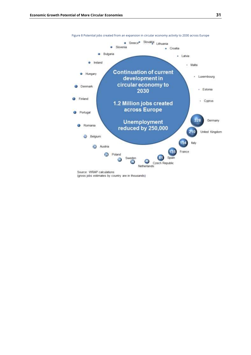

Figure 8 Potential jobs created from an expansion in circular economy activity to 2030 across Europe

(gross jobs estimates by country are in thousands)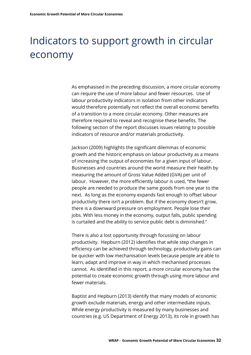# <span id="page-31-0"></span>Indicators to support growth in circular economy

As emphasised in the preceding discussion, a more circular economy can require the use of more labour and fewer resources. Use of labour productivity indicators in isolation from other indicators would therefore potentially not reflect the overall economic benefits of a transition to a more circular economy. Other measures are therefore required to reveal and recognise these benefits. The following section of the report discusses issues relating to possible indicators of resource and/or materials productivity.

Jackson (2009) highlights the significant dilemmas of economic growth and the historic emphasis on labour productivity as a means of increasing the output of economies for a given input of labour. Businesses and countries around the world measure their health by measuring the amount of Gross Value Added (GVA) per unit of labour. However, the more efficiently labour is used, "the fewer people are needed to produce the same goods from one year to the next. As long as the economy expands fast enough to offset labour productivity there isn't a problem. But if the economy doesn't grow, there is a downward pressure on employment. People lose their jobs. With less money in the economy, output falls, public spending is curtailed and the ability to service public debt is diminished."

There is also a lost opportunity through focussing on labour productivity. Hepburn (2012) identifies that while step changes in efficiency can be achieved through technology, productivity gains can be quicker with low mechanisation levels because people are able to learn, adapt and improve in way in which mechanised processes cannot. As identified in this report, a more circular economy has the potential to create economic growth through using more labour and fewer materials.

Baptist and Hepburn (2013) identify that many models of economic growth exclude materials, energy and other intermediate inputs. While energy productivity is measured by many businesses and countries (e.g. US Department of Energy 2013), its role in growth has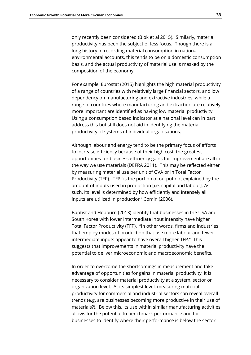only recently been considered (Blok et al 2015). Similarly, material productivity has been the subject of less focus. Though there is a long history of recording material consumption in national environmental accounts, this tends to be on a domestic consumption basis, and the actual productivity of material use is masked by the composition of the economy.

For example, Eurostat (2015) highlights the high material productivity of a range of countries with relatively large financial sectors, and low dependency on manufacturing and extractive industries, while a range of countries where manufacturing and extraction are relatively more important are identified as having low material productivity. Using a consumption based indicator at a national level can in part address this but still does not aid in identifying the material productivity of systems of individual organisations.

Although labour and energy tend to be the primary focus of efforts to increase efficiency because of their high cost, the greatest opportunities for business efficiency gains for improvement are all in the way we use materials (DEFRA 2011). This may be reflected either by measuring material use per unit of GVA or in Total Factor Productivity (TFP). TFP "is the portion of output not explained by the amount of inputs used in production [i.e. capital and labour]. As such, its level is determined by how efficiently and intensely all inputs are utilized in production" Comin (2006).

Baptist and Hepburn (2013) identify that businesses in the USA and South Korea with lower intermediate input intensity have higher Total Factor Productivity (TFP). "In other words, firms and industries that employ modes of production that use more labour and fewer intermediate inputs appear to have overall higher TFP." This suggests that improvements in material productivity have the potential to deliver microeconomic and macroeconomic benefits.

In order to overcome the shortcomings in measurement and take advantage of opportunities for gains in material productivity, it is necessary to consider material productivity at a system, sector or organization level. At its simplest level, measuring material productivity for commercial and industrial sectors can reveal overall trends (e.g. are businesses becoming more productive in their use of materials?). Below this, its use within similar manufacturing activities allows for the potential to benchmark performance and for businesses to identify where their performance is below the sector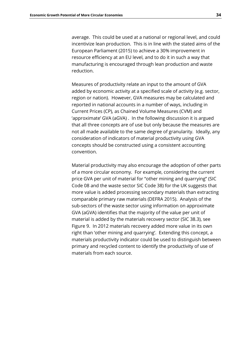average. This could be used at a national or regional level, and could incentivize lean production. This is in line with the stated aims of the European Parliament (2015) to achieve a 30% improvement in resource efficiency at an EU level, and to do it in such a way that manufacturing is encouraged through lean production and waste reduction.

Measures of productivity relate an input to the amount of GVA added by economic activity at a specified scale of activity (e.g. sector, region or nation). However, GVA measures may be calculated and reported in national accounts in a number of ways, including in Current Prices (CP), as Chained Volume Measures (CVM) and 'approximate' GVA (aGVA) . In the following discussion it is argued that all three concepts are of use but only because the measures are not all made available to the same degree of granularity. Ideally, any consideration of indicators of material productivity using GVA concepts should be constructed using a consistent accounting convention.

Material productivity may also encourage the adoption of other parts of a more circular economy. For example, considering the current price GVA per unit of material for "other mining and quarrying" (SIC Code 08 and the waste sector SIC Code 38) for the UK suggests that more value is added processing secondary materials than extracting comparable primary raw materials (DEFRA 2015). Analysis of the sub-sectors of the waste sector using information on approximate GVA (aGVA) identifies that the majority of the value per unit of material is added by the materials recovery sector (SIC 38.3), see Figure 9. In 2012 materials recovery added more value in its own right than 'other mining and quarrying'. Extending this concept, a materials productivity indicator could be used to distinguish between primary and recycled content to identify the productivity of use of materials from each source.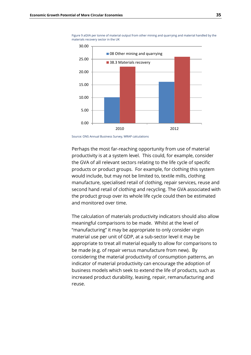

Figure 9 aGVA per tonne of material output from other mining and quarrying and material handled by the materials recovery sector in the UK



Perhaps the most far-reaching opportunity from use of material productivity is at a system level. This could, for example, consider the GVA of all relevant sectors relating to the life cycle of specific products or product groups. For example, for clothing this system would include, but may not be limited to, textile mills, clothing manufacture, specialised retail of clothing, repair services, reuse and second hand retail of clothing and recycling. The GVA associated with the product group over its whole life cycle could then be estimated and monitored over time.

The calculation of materials productivity indicators should also allow meaningful comparisons to be made. Whilst at the level of "manufacturing" it may be appropriate to only consider virgin material use per unit of GDP, at a sub-sector level it may be appropriate to treat all material equally to allow for comparisons to be made (e.g. of repair versus manufacture from new). By considering the material productivity of consumption patterns, an indicator of material productivity can encourage the adoption of business models which seek to extend the life of products, such as increased product durability, leasing, repair, remanufacturing and reuse.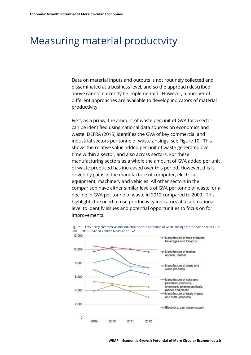### <span id="page-35-0"></span>Measuring material productvity

Data on material inputs and outputs is not routinely collected and disseminated at a business level, and so the approach described above cannot currently be implemented. However, a number of different approaches are available to develop indicators of material productivity.

First, as a proxy, the amount of waste per unit of GVA for a sector can be identified using national data sources on economics and waste. DEFRA (2015) identifies the GVA of key commercial and industrial sectors per tonne of waste arisings, see Figure 10. This shows the relative value added per unit of waste generated over time within a sector, and also across sectors. For these manufacturing sectors as a whole the amount of GVA added per unit of waste produced has increased over this period. However, this is driven by gains in the manufacture of computer, electrical equipment, machinery and vehicles. All other sectors in the comparison have either similar levels of GVA per tonne of waste, or a decline in GVA per tonne of waste in 2012 compared to 2009. This highlights the need to use productivity indicators at a sub-national level to identify issues and potential opportunities to focus on for improvements.



Figure 10 GVA of key commercial and industrial sectors per tonne of waste arisings for the same sectors, UK, 2009 – 2012, Chained Volume Measure of GVA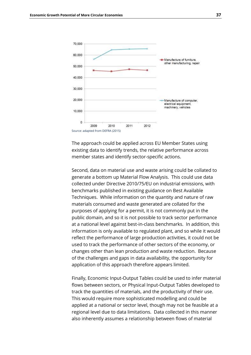

The approach could be applied across EU Member States using existing data to identify trends, the relative performance across member states and identify sector-specific actions.

Second, data on material use and waste arising could be collated to generate a bottom up Material Flow Analysis. This could use data collected under Directive 2010/75/EU on industrial emissions, with benchmarks published in existing guidance on Best Available Techniques. While information on the quantity and nature of raw materials consumed and waste generated are collated for the purposes of applying for a permit, it is not commonly put in the public domain, and so it is not possible to track sector performance at a national level against best-in-class benchmarks. In addition, this information is only available to regulated plant, and so while it would reflect the performance of large production activities, it could not be used to track the performance of other sectors of the economy, or changes other than lean production and waste reduction. Because of the challenges and gaps in data availability, the opportunity for application of this approach therefore appears limited.

Finally, Economic Input-Output Tables could be used to infer material flows between sectors, or Physical Input-Output Tables developed to track the quantities of materials, and the productivity of their use. This would require more sophisticated modelling and could be applied at a national or sector level, though may not be feasible at a regional level due to data limitations. Data collected in this manner also inherently assumes a relationship between flows of material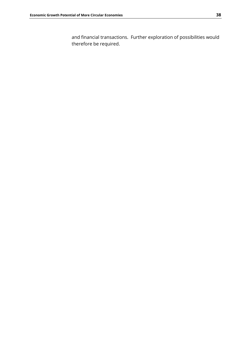and financial transactions. Further exploration of possibilities would therefore be required.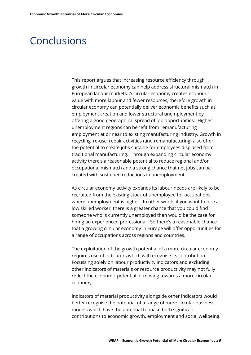### <span id="page-38-0"></span>Conclusions

This report argues that increasing resource efficiency through growth in circular economy can help address structural mismatch in European labour markets. A circular economy creates economic value with more labour and fewer resources, therefore growth in circular economy can potentially deliver economic benefits such as employment creation and lower structural unemployment by offering a good geographical spread of job opportunities. Higher unemployment regions can benefit from remanufacturing employment at or near to existing manufacturing industry. Growth in recycling, re-use, repair activities (and remanufacturing) also offer the potential to create jobs suitable for employees displaced from traditional manufacturing. Through expanding circular economy activity there's a reasonable potential to reduce regional and/or occupational mismatch and a strong chance that net jobs can be created with sustained reductions in unemployment.

As circular economy activity expands its labour needs are likely to be recruited from the existing stock of unemployed for occupations where unemployment is higher. In other words if you want to hire a low skilled worker, there is a greater chance that you could find someone who is currently unemployed than would be the case for hiring an experienced professional. So there's a reasonable chance that a growing circular economy in Europe will offer opportunities for a range of occupations across regions and countries.

The exploitation of the growth potential of a more circular economy requires use of indicators which will recognise its contribution. Focussing solely on labour productivity indicators and excluding other indicators of materials or resource productivity may not fully reflect the economic potential of moving towards a more circular economy.

Indicators of material productivity alongside other indicators would better recognise the potential of a range of more circular business models which have the potential to make both significant contributions to economic growth, employment and social wellbeing.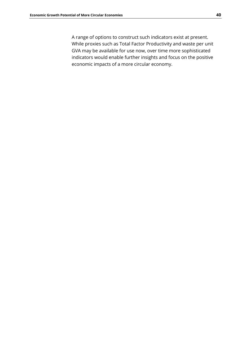A range of options to construct such indicators exist at present. While proxies such as Total Factor Productivity and waste per unit GVA may be available for use now, over time more sophisticated indicators would enable further insights and focus on the positive economic impacts of a more circular economy.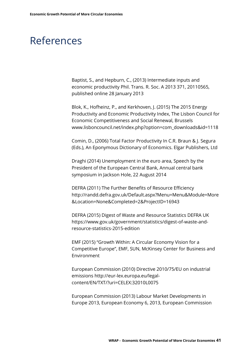## <span id="page-40-0"></span>References

Baptist, S., and Hepburn, C., (2013) Intermediate inputs and economic productivity Phil. Trans. R. Soc. A 2013 371, 20110565, published online 28 January 2013

Blok, K., Hofheinz, P., and Kerkhoven, J. (2015) The 2015 Energy Productivity and Economic Productivity Index, The Lisbon Council for Economic Competitiveness and Social Renewal, Brussels www.lisboncouncil.net/index.php?option=com\_downloads&id=1118

Comin, D., (2006) Total Factor Productivity In C.R. Braun & J. Segura (Eds.), An Eponymous Dictionary of Economics. Elgar Publishers, Ltd

Draghi (2014) Unemployment in the euro area, Speech by the President of the European Central Bank, Annual central bank symposium in Jackson Hole, 22 August 2014

DEFRA (2011) The Further Benefits of Resource Efficiency http://randd.defra.gov.uk/Default.aspx?Menu=Menu&Module=More &Location=None&Completed=2&ProjectID=16943

DEFRA (2015) Digest of Waste and Resource Statistics DEFRA UK https://www.gov.uk/government/statistics/digest-of-waste-andresource-statistics-2015-edition

EMF (2015) "Growth Within: A Circular Economy Vision for a Competitive Europe", EMF, SUN, McKinsey Center for Business and Environment

European Commission (2010) Directive 2010/75/EU on industrial emissions http://eur-lex.europa.eu/legalcontent/EN/TXT/?uri=CELEX:32010L0075

European Commission (2013) Labour Market Developments in Europe 2013, European Economy 6, 2013, European Commission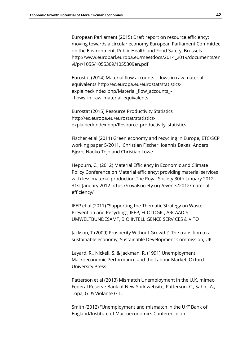European Parliament (2015) Draft report on resource efficiency: moving towards a circular economy European Parliament Committee on the Environment, Public Health and Food Safety, Brussels http://www.europarl.europa.eu/meetdocs/2014\_2019/documents/en vi/pr/1055/1055309/1055309en.pdf

Eurostat (2014) Material flow accounts - flows in raw material equivalents http://ec.europa.eu/eurostat/statisticsexplained/index.php/Material\_flow\_accounts\_- \_flows\_in\_raw\_material\_equivalents

Eurostat (2015) Resource Productivity Statistics http://ec.europa.eu/eurostat/statisticsexplained/index.php/Resource\_productivity\_statistics

Fischer et al (2011) Green economy and recycling in Europe, ETC/SCP working paper 5/2011, Christian Fischer, Ioannis Bakas, Anders Bjørn, Naoko Tojo and Christian Löwe

Hepburn, C., (2012) Material Efficiency in Economic and Climate Policy Conference on Material efficiency: providing material services with less material production The Royal Society 30th January 2012 – 31st January 2012 https://royalsociety.org/events/2012/materialefficiency/

IEEP et al (2011) "Supporting the Thematic Strategy on Waste Prevention and Recycling", IEEP, ECOLOGIC, ARCAADIS UMWELTBUNDESAMT, BIO INTELLIGENCE SERVICES & VITO

Jackson, T (2009) Prosperity Without Growth? The transition to a sustainable economy, Sustainable Development Commission, UK

Layard, R., Nickell, S. & Jackman, R. (1991) Unemployment: Macroeconomic Performance and the Labour Market, Oxford University Press.

Patterson et al (2013) Mismatch Unemployment in the U.K, mimeo Federal Reserve Bank of New York website, Patterson, C., Sahin, A., Topa, G. & Violante G.L.

Smith (2012) "Unemployment and mismatch in the UK" Bank of England/Institute of Macroeconomics Conference on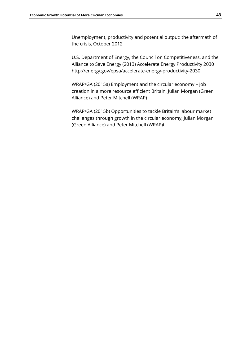Unemployment, productivity and potential output: the aftermath of the crisis, October 2012

U.S. Department of Energy, the Council on Competitiveness, and the Alliance to Save Energy (2013) Accelerate Energy Productivity 2030 http://energy.gov/epsa/accelerate-energy-productivity-2030

WRAP/GA (2015a) Employment and the circular economy – job creation in a more resource efficient Britain, Julian Morgan (Green Alliance) and Peter Mitchell (WRAP)

WRAP/GA (2015b) Opportunities to tackle Britain's labour market challenges through growth in the circular economy, Julian Morgan (Green Alliance) and Peter Mitchell (WRAP)t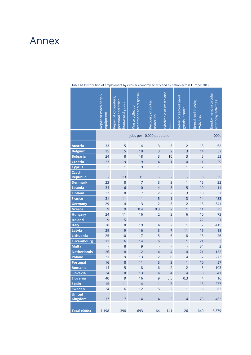### <span id="page-43-0"></span>Annex

|                                    | Repair of machinery &<br>equipment | Repair of computers,<br>bersonal and other<br>nousehold goods | reatment and disposal<br>Maste collection, | Recovery of sorted<br>naterials            | Wholesale of waste and<br>deus | Retail of second hand<br>goods in store | Rental and Leasing<br>Activities | Employment in circular<br>economy activities |
|------------------------------------|------------------------------------|---------------------------------------------------------------|--------------------------------------------|--------------------------------------------|--------------------------------|-----------------------------------------|----------------------------------|----------------------------------------------|
|                                    |                                    |                                                               |                                            | Jobs per 10,000 population                 |                                |                                         |                                  | 000s                                         |
| <b>Austria</b>                     | 33                                 | 5                                                             | 14                                         | 3                                          | 3                              | $\overline{2}$                          | 13                               | 62                                           |
| <b>Belgium</b>                     | 15                                 | 5                                                             | 10                                         | 3                                          | $\overline{2}$                 | $\overline{3}$                          | 14                               | 57                                           |
| <b>Bulgaria</b>                    | 24                                 | 8                                                             | 18                                         | 3                                          | 10                             | $\overline{3}$                          | 5                                | 53                                           |
| <b>Croatia</b>                     | 23                                 | 9                                                             | 19                                         | $\overline{4}$                             | $\overline{1}$                 | $\overline{0}$                          | 11                               | 29                                           |
| <b>Cyprus</b>                      | $\overline{2}$                     | 1                                                             | 9                                          | $\mathbf{1}$                               | 0.3                            | 1                                       | 12                               | 3                                            |
| <b>Czech</b><br><b>Republic</b>    |                                    | 13                                                            | 31                                         | ٠                                          |                                |                                         | 8                                | 55                                           |
| <b>Denmark</b>                     | 23                                 | 8                                                             | $\overline{7}$                             | 3                                          | 3                              | 1                                       | 15                               | 32                                           |
| <b>Estonia</b>                     | 34                                 | $\overline{6}$                                                | 10                                         | $\overline{4}$                             | $\overline{3}$                 | 5                                       | 19                               | 11                                           |
| <b>Finland</b>                     | 37                                 | 8                                                             | $\overline{7}$                             | $\overline{2}$                             | $\overline{2}$                 | 3                                       | 10                               | 37                                           |
| <b>France</b>                      | 31                                 | 11                                                            | 11                                         | 5                                          | $\overline{1}$                 | $\overline{3}$                          | 14                               | 483                                          |
| Germany                            | 29                                 | $\overline{4}$                                                | 13                                         | $\overline{2}$                             | 3                              | $\overline{2}$                          | 13                               | 541                                          |
| Greece                             | 9                                  | 9                                                             | 0.4                                        | 0.3                                        | $\overline{2}$                 | $\overline{1}$                          | 11                               | 35                                           |
| <b>Hungary</b>                     | 24                                 | 11                                                            | 16                                         | $\overline{2}$                             | 3                              | $\overline{6}$                          | 10                               | 73                                           |
| <b>Ireland</b>                     | 9                                  | 5                                                             | 11                                         | Ļ,                                         | l,                             | L,                                      | 22                               | 21                                           |
| Italy                              | 28                                 | 8                                                             | 19                                         | $\overline{\mathcal{L}}$                   | $\overline{2}$                 | 1                                       | $\overline{7}$                   | 415                                          |
| Latvia                             | 29                                 | 9                                                             | 16                                         | 3                                          | $\overline{7}$                 | 11                                      | 15                               | 18                                           |
| Lithuania                          | 25                                 | 10                                                            | 17                                         | 5                                          | $\overline{6}$                 | 8                                       | 13                               | 26                                           |
| <b>Luxembourg</b>                  | 13                                 | $\overline{6}$                                                | 14                                         | $\overline{6}$                             | $\overline{3}$                 | 1                                       | 21                               | $\overline{\mathbf{3}}$                      |
| <b>Malta</b><br><b>Netherlands</b> | ÷,                                 | 8                                                             | 9<br>12                                    | $\Box$                                     | ÷,                             | $\Box$                                  | 34                               | $\overline{2}$<br>132                        |
| <b>Poland</b>                      | 26<br>31                           | $\,8\,$<br>9                                                  | 13                                         | $\overline{\mathcal{L}}$<br>$\overline{2}$ | $\overline{4}$<br>6            | $\overline{4}$<br>$\overline{4}$        | 21<br>$\overline{7}$             | 273                                          |
| <b>Portugal</b>                    | 16                                 | $\,8\,$                                                       | 11                                         | $\overline{3}$                             | 3                              | $\mathbf{1}$                            | 10                               | 57                                           |
| Romania                            | 14                                 | 5                                                             | 18                                         | 6                                          | $\overline{2}$                 | $\overline{2}$                          | 3                                | 103                                          |
| <b>Slovakia</b>                    | 34                                 | 8                                                             | 13                                         | $\overline{4}$                             | $\overline{\mathcal{A}}$       | $\overline{4}$                          | 8                                | 41                                           |
| <b>Slovenia</b>                    | 40                                 | 9                                                             | 16                                         | 9                                          | 0.5                            | 0.3                                     | $\overline{4}$                   | 16                                           |
| <b>Spain</b>                       | 15                                 | 11                                                            | 14                                         | $\overline{1}$                             | 5                              | $\overline{1}$                          | 13                               | 277                                          |
| <b>Sweden</b>                      | 24                                 | $\sqrt{6}$                                                    | 12                                         | 5                                          | $\overline{2}$                 | 1                                       | 16                               | 62                                           |
| <b>United</b><br><b>Kingdom</b>    | 17                                 | $\overline{7}$                                                | 14                                         | $\overline{4}$                             | $\overline{2}$                 | $\overline{4}$                          | 23                               | 462                                          |
| <b>Total (000s)</b>                | 1,198                              | 398                                                           | 693                                        | 164                                        | 141                            | 126                                     | 640                              | 3,379                                        |

Table A1 Distribution of employment by circular economy activity and by nation across Europe, 2012